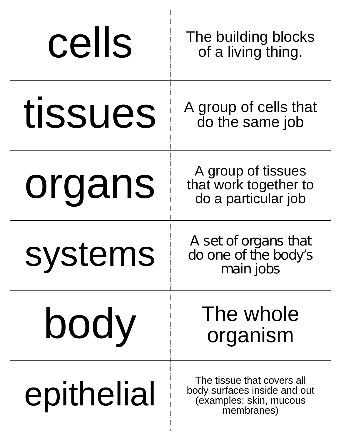| cells      | The building blocks<br>of a living thing.                                                           |
|------------|-----------------------------------------------------------------------------------------------------|
| tissues    | A group of cells that<br>do the same job                                                            |
| organs     | A group of tissues<br>that work together to<br>do a particular job                                  |
| systems    | A set of organs that<br>do one of the body's<br>main jobs                                           |
| body       | The whole<br>organism                                                                               |
| epithelial | The tissue that covers all<br>body surfaces inside and out<br>(examples: skin, mucous<br>membranes) |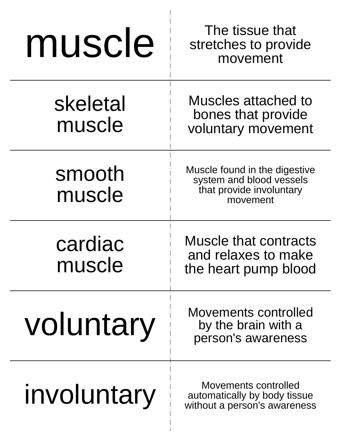| muscle             | The tissue that<br>stretches to provide<br>movement                                               |
|--------------------|---------------------------------------------------------------------------------------------------|
| skeletal<br>muscle | Muscles attached to<br>bones that provide<br>voluntary movement                                   |
| smooth<br>muscle   | Muscle found in the digestive<br>system and blood vessels<br>that provide involuntary<br>movement |
| cardiac<br>muscle  | <b>Muscle that contracts</b><br>and relaxes to make<br>the heart pump blood                       |
| voluntary          | Movements controlled<br>by the brain with a<br>person's awareness                                 |
| involuntary        | Movements controlled<br>automatically by body tissue<br>without a person's awareness              |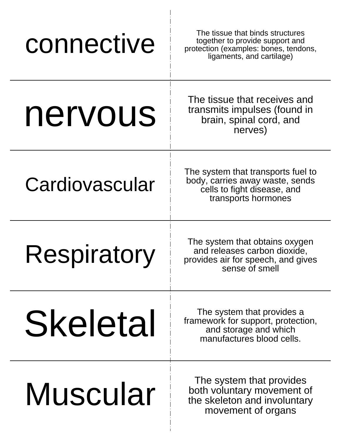| connective         | The tissue that binds structures<br>together to provide support and<br>protection (examples: bones, tendons,<br>ligaments, and cartilage) |
|--------------------|-------------------------------------------------------------------------------------------------------------------------------------------|
| nervous            | The tissue that receives and<br>transmits impulses (found in<br>brain, spinal cord, and<br>nerves)                                        |
| Cardiovascular     | The system that transports fuel to<br>body, carries away waste, sends<br>cells to fight disease, and<br>transports hormones               |
| <b>Respiratory</b> | The system that obtains oxygen<br>and releases carbon dioxide,<br>provides air for speech, and gives<br>sense of smell                    |
| Skeletal           | The system that provides a<br>framework for support, protection,<br>and storage and which<br>manufactures blood cells.                    |
| Muscular           | The system that provides<br>both voluntary movement of<br>the skeleton and involuntary<br>movement of organs                              |